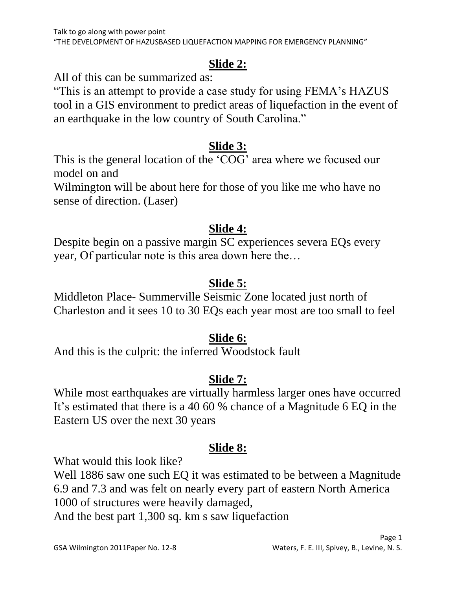### **Slide 2:**

All of this can be summarized as:

"This is an attempt to provide a case study for using FEMA"s HAZUS tool in a GIS environment to predict areas of liquefaction in the event of an earthquake in the low country of South Carolina."

### **Slide 3:**

This is the general location of the "COG" area where we focused our model on and

Wilmington will be about here for those of you like me who have no sense of direction. (Laser)

### **Slide 4:**

Despite begin on a passive margin SC experiences severa EQs every year, Of particular note is this area down here the…

# **Slide 5:**

Middleton Place- Summerville Seismic Zone located just north of Charleston and it sees 10 to 30 EQs each year most are too small to feel

### **Slide 6:**

And this is the culprit: the inferred Woodstock fault

# **Slide 7:**

While most earthquakes are virtually harmless larger ones have occurred It's estimated that there is a 40 60 % chance of a Magnitude 6 EQ in the Eastern US over the next 30 years

### **Slide 8:**

What would this look like?

Well 1886 saw one such EQ it was estimated to be between a Magnitude 6.9 and 7.3 and was felt on nearly every part of eastern North America 1000 of structures were heavily damaged,

And the best part 1,300 sq. km s saw liquefaction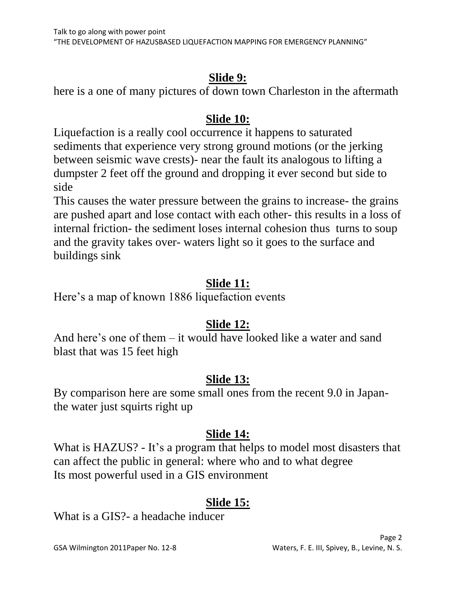### **Slide 9:**

here is a one of many pictures of down town Charleston in the aftermath

### **Slide 10:**

Liquefaction is a really cool occurrence it happens to saturated sediments that experience very strong ground motions (or the jerking between seismic wave crests)- near the fault its analogous to lifting a dumpster 2 feet off the ground and dropping it ever second but side to side

This causes the water pressure between the grains to increase- the grains are pushed apart and lose contact with each other- this results in a loss of internal friction- the sediment loses internal cohesion thus turns to soup and the gravity takes over- waters light so it goes to the surface and buildings sink

# **Slide 11:**

Here's a map of known 1886 liquefaction events

# **Slide 12:**

And here's one of them – it would have looked like a water and sand blast that was 15 feet high

### **Slide 13:**

By comparison here are some small ones from the recent 9.0 in Japanthe water just squirts right up

### **Slide 14:**

What is HAZUS? - It's a program that helps to model most disasters that can affect the public in general: where who and to what degree Its most powerful used in a GIS environment

# **Slide 15:**

What is a GIS?- a headache inducer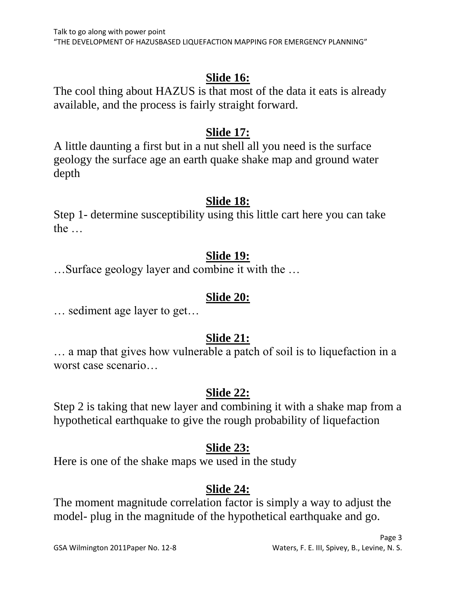### **Slide 16:**

The cool thing about HAZUS is that most of the data it eats is already available, and the process is fairly straight forward.

#### **Slide 17:**

A little daunting a first but in a nut shell all you need is the surface geology the surface age an earth quake shake map and ground water depth

#### **Slide 18:**

Step 1- determine susceptibility using this little cart here you can take the …

#### **Slide 19:**

…Surface geology layer and combine it with the …

#### **Slide 20:**

… sediment age layer to get…

# **Slide 21:**

… a map that gives how vulnerable a patch of soil is to liquefaction in a worst case scenario…

### **Slide 22:**

Step 2 is taking that new layer and combining it with a shake map from a hypothetical earthquake to give the rough probability of liquefaction

# **Slide 23:**

Here is one of the shake maps we used in the study

# **Slide 24:**

The moment magnitude correlation factor is simply a way to adjust the model- plug in the magnitude of the hypothetical earthquake and go.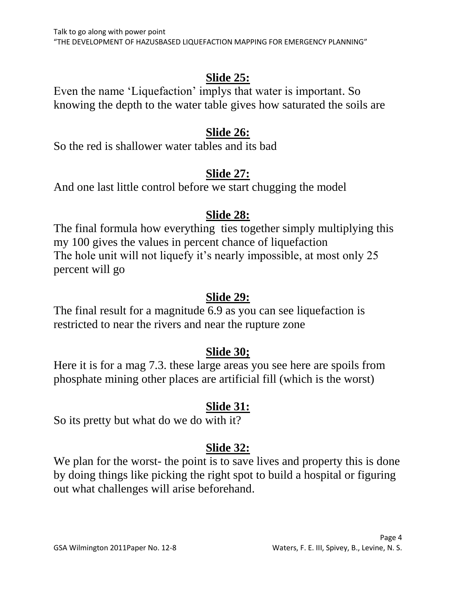#### **Slide 25:**

Even the name "Liquefaction" implys that water is important. So knowing the depth to the water table gives how saturated the soils are

#### **Slide 26:**

So the red is shallower water tables and its bad

# **Slide 27:**

And one last little control before we start chugging the model

# **Slide 28:**

The final formula how everything ties together simply multiplying this my 100 gives the values in percent chance of liquefaction The hole unit will not liquefy it's nearly impossible, at most only 25 percent will go

### **Slide 29:**

The final result for a magnitude 6.9 as you can see liquefaction is restricted to near the rivers and near the rupture zone

### **Slide 30;**

Here it is for a mag 7.3. these large areas you see here are spoils from phosphate mining other places are artificial fill (which is the worst)

# **Slide 31:**

So its pretty but what do we do with it?

# **Slide 32:**

We plan for the worst- the point is to save lives and property this is done by doing things like picking the right spot to build a hospital or figuring out what challenges will arise beforehand.